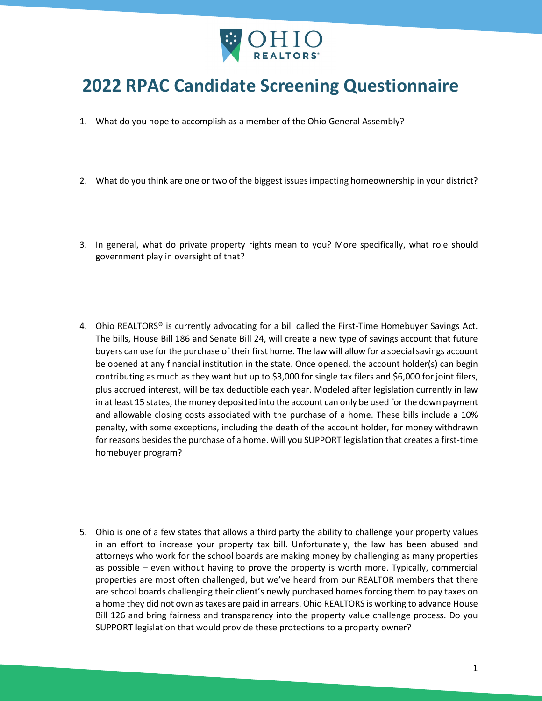

## **2022 RPAC Candidate Screening Questionnaire**

- 1. What do you hope to accomplish as a member of the Ohio General Assembly?
- 2. What do you think are one or two of the biggest issues impacting homeownership in your district?
- 3. In general, what do private property rights mean to you? More specifically, what role should government play in oversight of that?
- 4. Ohio REALTORS<sup>®</sup> is currently advocating for a bill called the First-Time Homebuyer Savings Act. The bills, House Bill 186 and Senate Bill 24, will create a new type of savings account that future buyers can use for the purchase of their first home. The law will allow for a special savings account be opened at any financial institution in the state. Once opened, the account holder(s) can begin contributing as much as they want but up to \$3,000 for single tax filers and \$6,000 for joint filers, plus accrued interest, will be tax deductible each year. Modeled after legislation currently in law in at least 15 states, the money deposited into the account can only be used for the down payment and allowable closing costs associated with the purchase of a home. These bills include a 10% penalty, with some exceptions, including the death of the account holder, for money withdrawn for reasons besides the purchase of a home. Will you SUPPORT legislation that creates a first-time homebuyer program?
- 5. Ohio is one of a few states that allows a third party the ability to challenge your property values in an effort to increase your property tax bill. Unfortunately, the law has been abused and attorneys who work for the school boards are making money by challenging as many properties as possible – even without having to prove the property is worth more. Typically, commercial properties are most often challenged, but we've heard from our REALTOR members that there are school boards challenging their client's newly purchased homes forcing them to pay taxes on a home they did not own as taxes are paid in arrears. Ohio REALTORS is working to advance House Bill 126 and bring fairness and transparency into the property value challenge process. Do you SUPPORT legislation that would provide these protections to a property owner?